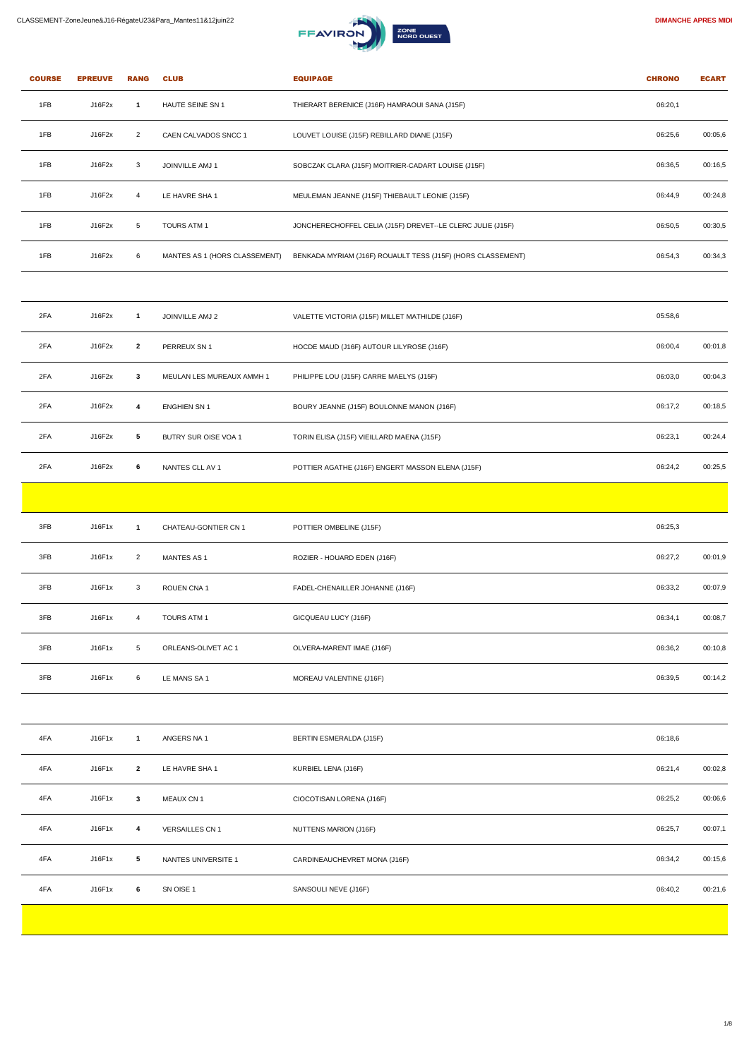

| <b>COURSE</b> | <b>EPREUVE</b> | <b>RANG</b>             | <b>CLUB</b>                   | <b>EQUIPAGE</b>                                             | <b>CHRONO</b> | <b>ECART</b> |
|---------------|----------------|-------------------------|-------------------------------|-------------------------------------------------------------|---------------|--------------|
| 1FB           | J16F2x         | $\mathbf{1}$            | HAUTE SEINE SN 1              | THIERART BERENICE (J16F) HAMRAOUI SANA (J15F)               | 06:20,1       |              |
| 1FB           | J16F2x         | $\overline{2}$          | CAEN CALVADOS SNCC 1          | LOUVET LOUISE (J15F) REBILLARD DIANE (J15F)                 | 06:25,6       | 00:05,6      |
| 1FB           | J16F2x         | 3                       | JOINVILLE AMJ 1               | SOBCZAK CLARA (J15F) MOITRIER-CADART LOUISE (J15F)          | 06:36,5       | 00:16,5      |
| 1FB           | J16F2x         | 4                       | LE HAVRE SHA 1                | MEULEMAN JEANNE (J15F) THIEBAULT LEONIE (J15F)              | 06:44,9       | 00:24,8      |
| 1FB           | J16F2x         | 5                       | <b>TOURS ATM 1</b>            | JONCHERECHOFFEL CELIA (J15F) DREVET--LE CLERC JULIE (J15F)  | 06:50,5       | 00:30,5      |
| 1FB           | J16F2x         | 6                       | MANTES AS 1 (HORS CLASSEMENT) | BENKADA MYRIAM (J16F) ROUAULT TESS (J15F) (HORS CLASSEMENT) | 06:54,3       | 00:34,3      |
|               |                |                         |                               |                                                             |               |              |
| 2FA           | J16F2x         | $\mathbf{1}$            | JOINVILLE AMJ 2               | VALETTE VICTORIA (J15F) MILLET MATHILDE (J16F)              | 05:58,6       |              |
| 2FA           | J16F2x         | $\mathbf{2}$            | PERREUX SN 1                  | HOCDE MAUD (J16F) AUTOUR LILYROSE (J16F)                    | 06:00,4       | 00:01,8      |
| 2FA           | J16F2x         | 3                       | MEULAN LES MUREAUX AMMH 1     | PHILIPPE LOU (J15F) CARRE MAELYS (J15F)                     | 06:03,0       | 00:04,3      |
| 2FA           | J16F2x         | 4                       | <b>ENGHIEN SN 1</b>           | BOURY JEANNE (J15F) BOULONNE MANON (J16F)                   | 06:17,2       | 00:18,5      |
| 2FA           | J16F2x         | ${\bf 5}$               | BUTRY SUR OISE VOA 1          | TORIN ELISA (J15F) VIEILLARD MAENA (J15F)                   | 06:23,1       | 00:24,4      |
| 2FA           | J16F2x         | 6                       | NANTES CLL AV 1               | POTTIER AGATHE (J16F) ENGERT MASSON ELENA (J15F)            | 06:24,2       | 00:25,5      |
|               |                |                         |                               |                                                             |               |              |
| 3FB           | J16F1x         | $\mathbf{1}$            | CHATEAU-GONTIER CN 1          | POTTIER OMBELINE (J15F)                                     | 06:25,3       |              |
| 3FB           | J16F1x         | $\overline{2}$          | <b>MANTES AS 1</b>            | ROZIER - HOUARD EDEN (J16F)                                 | 06:27,2       | 00:01,9      |
| 3FB           | J16F1x         | 3                       | ROUEN CNA 1                   | FADEL-CHENAILLER JOHANNE (J16F)                             | 06:33,2       | 00:07,9      |
| 3FB           | J16F1x         | 4                       | TOURS ATM 1                   | GICQUEAU LUCY (J16F)                                        | 06:34,1       | 00:08,7      |
| 3FB           | J16F1x         | 5                       | ORLEANS-OLIVET AC 1           | OLVERA-MARENT IMAE (J16F)                                   | 06:36,2       | 00:10,8      |
| 3FB           | J16F1x         | 6                       | LE MANS SA 1                  | MOREAU VALENTINE (J16F)                                     | 06:39,5       | 00:14,2      |
|               |                |                         |                               |                                                             |               |              |
| 4FA           | J16F1x         | $\mathbf{1}$            | ANGERS NA 1                   | BERTIN ESMERALDA (J15F)                                     | 06:18,6       |              |
| 4FA           | J16F1x         | $\overline{\mathbf{2}}$ | LE HAVRE SHA 1                | KURBIEL LENA (J16F)                                         | 06:21,4       | 00:02,8      |
| 4FA           | J16F1x         | 3                       | MEAUX CN 1                    | CIOCOTISAN LORENA (J16F)                                    | 06:25,2       | 00:06,6      |
| 4FA           | J16F1x         | 4                       | <b>VERSAILLES CN 1</b>        | NUTTENS MARION (J16F)                                       | 06:25,7       | 00:07,1      |
| 4FA           | J16F1x         | 5                       | NANTES UNIVERSITE 1           | CARDINEAUCHEVRET MONA (J16F)                                | 06:34,2       | 00:15,6      |
| 4FA           | J16F1x         | 6                       | SN OISE 1                     | SANSOULI NEVE (J16F)                                        | 06:40,2       | 00:21,6      |
|               |                |                         |                               |                                                             |               |              |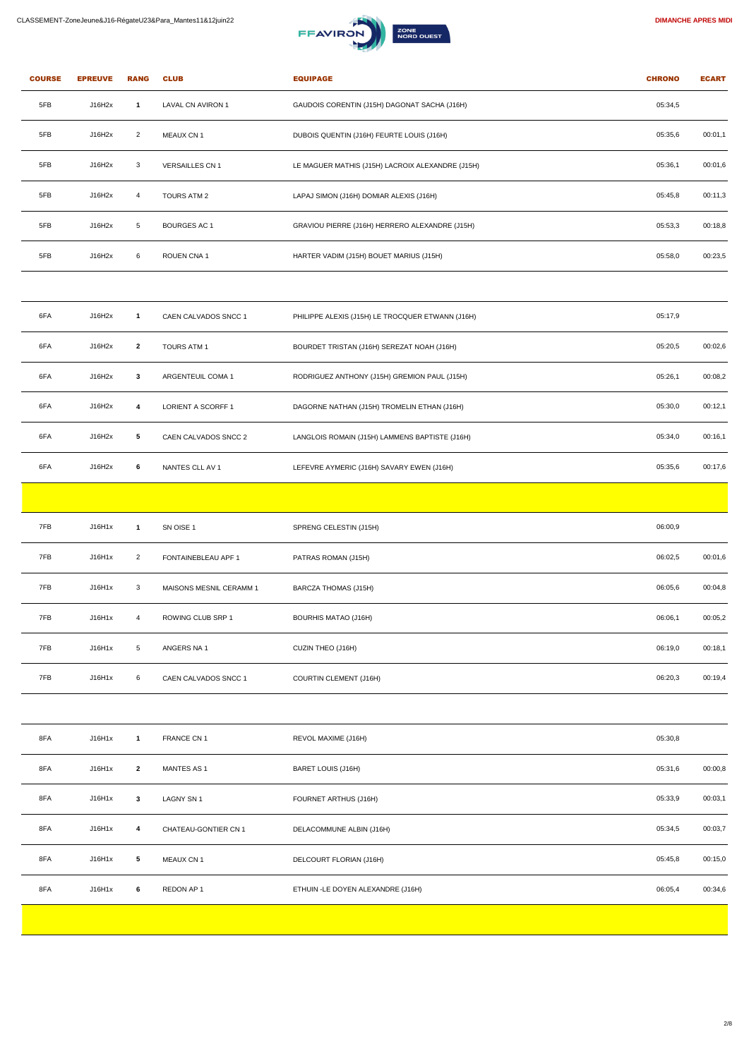

| <b>COURSE</b> | <b>EPREUVE</b> | <b>RANG</b>    | <b>CLUB</b>               | <b>EQUIPAGE</b>                                  | <b>CHRONO</b> | <b>ECART</b> |
|---------------|----------------|----------------|---------------------------|--------------------------------------------------|---------------|--------------|
| 5FB           | J16H2x         | $\mathbf{1}$   | LAVAL CN AVIRON 1         | GAUDOIS CORENTIN (J15H) DAGONAT SACHA (J16H)     | 05:34,5       |              |
| 5FB           | J16H2x         | 2              | MEAUX CN 1                | DUBOIS QUENTIN (J16H) FEURTE LOUIS (J16H)        | 05:35,6       | 00:01,1      |
| 5FB           | J16H2x         | 3              | <b>VERSAILLES CN 1</b>    | LE MAGUER MATHIS (J15H) LACROIX ALEXANDRE (J15H) | 05:36,1       | 00:01,6      |
| 5FB           | J16H2x         | $\overline{4}$ | TOURS ATM 2               | LAPAJ SIMON (J16H) DOMIAR ALEXIS (J16H)          | 05:45,8       | 00:11,3      |
| 5FB           | J16H2x         | 5              | BOURGES AC 1              | GRAVIOU PIERRE (J16H) HERRERO ALEXANDRE (J15H)   | 05:53,3       | 00:18,8      |
| 5FB           | J16H2x         | 6              | ROUEN CNA 1               | HARTER VADIM (J15H) BOUET MARIUS (J15H)          | 05:58,0       | 00:23,5      |
|               |                |                |                           |                                                  |               |              |
| 6FA           | J16H2x         | $\mathbf{1}$   | CAEN CALVADOS SNCC 1      | PHILIPPE ALEXIS (J15H) LE TROCQUER ETWANN (J16H) | 05:17,9       |              |
| 6FA           | J16H2x         | 2              | TOURS ATM 1               | BOURDET TRISTAN (J16H) SEREZAT NOAH (J16H)       | 05:20,5       | 00:02,6      |
| 6FA           | J16H2x         | 3              | ARGENTEUIL COMA 1         | RODRIGUEZ ANTHONY (J15H) GREMION PAUL (J15H)     | 05:26,1       | 00:08,2      |
| 6FA           | J16H2x         | 4              | <b>LORIENT A SCORFF 1</b> | DAGORNE NATHAN (J15H) TROMELIN ETHAN (J16H)      | 05:30,0       | 00:12,1      |
| 6FA           | J16H2x         | 5              | CAEN CALVADOS SNCC 2      | LANGLOIS ROMAIN (J15H) LAMMENS BAPTISTE (J16H)   | 05:34,0       | 00:16,1      |
| 6FA           | J16H2x         | 6              | NANTES CLL AV 1           | LEFEVRE AYMERIC (J16H) SAVARY EWEN (J16H)        | 05:35,6       | 00:17,6      |
|               |                |                |                           |                                                  |               |              |
| 7FB           | J16H1x         | $\mathbf{1}$   | SN OISE 1                 | SPRENG CELESTIN (J15H)                           | 06:00,9       |              |
| 7FB           | J16H1x         | $\overline{c}$ | FONTAINEBLEAU APF 1       | PATRAS ROMAN (J15H)                              | 06:02,5       | 00:01,6      |
| 7FB           | J16H1x         | 3              | MAISONS MESNIL CERAMM 1   | BARCZA THOMAS (J15H)                             | 06:05,6       | 00:04,8      |
| 7FB           | J16H1x         | 4              | ROWING CLUB SRP 1         | <b>BOURHIS MATAO (J16H)</b>                      | 06:06,1       | 00:05,2      |
| 7FB           | J16H1x         | 5              | ANGERS NA 1               | CUZIN THEO (J16H)                                | 06:19,0       | 00:18,1      |
| 7FB           | J16H1x         | 6              | CAEN CALVADOS SNCC 1      | COURTIN CLEMENT (J16H)                           | 06:20,3       | 00:19,4      |
|               |                |                |                           |                                                  |               |              |
| 8FA           | J16H1x         | $\mathbf{1}$   | FRANCE CN 1               | REVOL MAXIME (J16H)                              | 05:30,8       |              |
| 8FA           | J16H1x         | $\mathbf{2}$   | MANTES AS 1               | BARET LOUIS (J16H)                               | 05:31,6       | 00:00,8      |
| 8FA           | J16H1x         | 3              | LAGNY SN 1                | FOURNET ARTHUS (J16H)                            | 05:33,9       | 00:03,1      |
| 8FA           | J16H1x         | 4              | CHATEAU-GONTIER CN 1      | DELACOMMUNE ALBIN (J16H)                         | 05:34,5       | 00:03,7      |
| 8FA           | J16H1x         | 5              | MEAUX CN 1                | DELCOURT FLORIAN (J16H)                          | 05:45,8       | 00:15,0      |
| 8FA           | J16H1x         | 6              | REDON AP 1                | ETHUIN - LE DOYEN ALEXANDRE (J16H)               | 06:05,4       | 00:34,6      |
|               |                |                |                           |                                                  |               |              |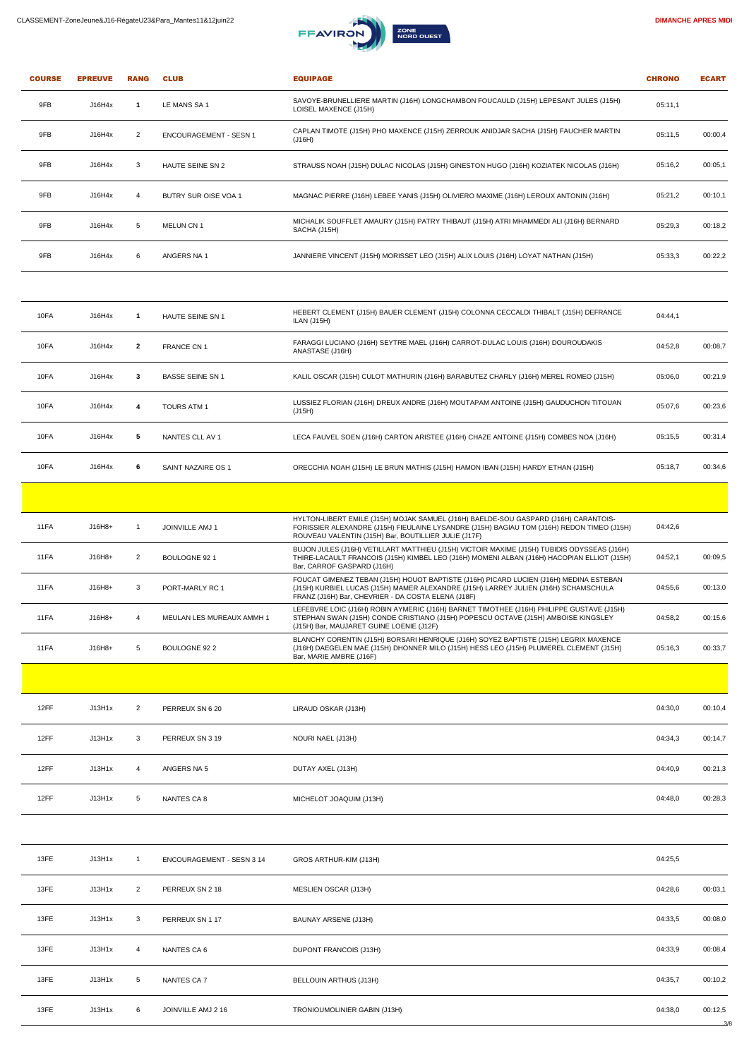

3/8

| <b>COURSE</b> | <b>EPREUVE</b> | <b>RANG</b>    | <b>CLUB</b>               | <b>EQUIPAGE</b>                                                                                                                                                                                                                          | <b>CHRONO</b> | <b>ECART</b> |
|---------------|----------------|----------------|---------------------------|------------------------------------------------------------------------------------------------------------------------------------------------------------------------------------------------------------------------------------------|---------------|--------------|
| 9FB           | J16H4x         | $\mathbf{1}$   | LE MANS SA 1              | SAVOYE-BRUNELLIERE MARTIN (J16H) LONGCHAMBON FOUCAULD (J15H) LEPESANT JULES (J15H)<br>LOISEL MAXENCE (J15H)                                                                                                                              | 05:11,1       |              |
| 9FB           | J16H4x         | $\overline{2}$ | ENCOURAGEMENT - SESN 1    | CAPLAN TIMOTE (J15H) PHO MAXENCE (J15H) ZERROUK ANIDJAR SACHA (J15H) FAUCHER MARTIN<br>(J16H)                                                                                                                                            | 05:11,5       | 00:00,4      |
| 9FB           | J16H4x         | 3              | HAUTE SEINE SN 2          | STRAUSS NOAH (J15H) DULAC NICOLAS (J15H) GINESTON HUGO (J16H) KOZIATEK NICOLAS (J16H)                                                                                                                                                    | 05:16,2       | 00:05,1      |
| 9FB           | J16H4x         | 4              | BUTRY SUR OISE VOA 1      | MAGNAC PIERRE (J16H) LEBEE YANIS (J15H) OLIVIERO MAXIME (J16H) LEROUX ANTONIN (J16H)                                                                                                                                                     | 05:21,2       | 00:10,1      |
| 9FB           | J16H4x         | 5              | MELUN CN 1                | MICHALIK SOUFFLET AMAURY (J15H) PATRY THIBAUT (J15H) ATRI MHAMMEDI ALI (J16H) BERNARD<br>SACHA (J15H)                                                                                                                                    | 05:29,3       | 00:18,2      |
| 9FB           | J16H4x         | 6              | ANGERS NA 1               | JANNIERE VINCENT (J15H) MORISSET LEO (J15H) ALIX LOUIS (J16H) LOYAT NATHAN (J15H)                                                                                                                                                        | 05:33,3       | 00:22,2      |
|               |                |                |                           |                                                                                                                                                                                                                                          |               |              |
| 10FA          | J16H4x         | $\mathbf{1}$   | HAUTE SEINE SN 1          | HEBERT CLEMENT (J15H) BAUER CLEMENT (J15H) COLONNA CECCALDI THIBALT (J15H) DEFRANCE<br>ILAN (J15H)                                                                                                                                       | 04:44,1       |              |
| 10FA          | J16H4x         | $\overline{2}$ | FRANCE CN 1               | FARAGGI LUCIANO (J16H) SEYTRE MAEL (J16H) CARROT-DULAC LOUIS (J16H) DOUROUDAKIS<br>ANASTASE (J16H)                                                                                                                                       | 04:52,8       | 00:08,7      |
| 10FA          | J16H4x         | 3              | <b>BASSE SEINE SN 1</b>   | KALIL OSCAR (J15H) CULOT MATHURIN (J16H) BARABUTEZ CHARLY (J16H) MEREL ROMEO (J15H)                                                                                                                                                      | 05:06,0       | 00:21,9      |
| 10FA          | J16H4x         | 4              | <b>TOURS ATM 1</b>        | LUSSIEZ FLORIAN (J16H) DREUX ANDRE (J16H) MOUTAPAM ANTOINE (J15H) GAUDUCHON TITOUAN<br>(J15H)                                                                                                                                            | 05:07,6       | 00:23,6      |
| 10FA          | J16H4x         | 5              | NANTES CLL AV 1           | LECA FAUVEL SOEN (J16H) CARTON ARISTEE (J16H) CHAZE ANTOINE (J15H) COMBES NOA (J16H)                                                                                                                                                     | 05:15,5       | 00:31,4      |
| 10FA          | J16H4x         | 6              | SAINT NAZAIRE OS 1        | ORECCHIA NOAH (J15H) LE BRUN MATHIS (J15H) HAMON IBAN (J15H) HARDY ETHAN (J15H)                                                                                                                                                          | 05:18,7       | 00:34,6      |
|               |                |                |                           |                                                                                                                                                                                                                                          |               |              |
| 11FA          | J16H8+         | $\mathbf{1}$   | JOINVILLE AMJ 1           | HYLTON-LIBERT EMILE (J15H) MOJAK SAMUEL (J16H) BAELDE-SOU GASPARD (J16H) CARANTOIS-<br>FORISSIER ALEXANDRE (J15H) FIEULAINE LYSANDRE (J15H) BAGIAU TOM (J16H) REDON TIMEO (J15H)<br>ROUVEAU VALENTIN (J15H) Bar, BOUTILLIER JULIE (J17F) | 04:42,6       |              |
| 11FA          | J16H8+         | $\overline{2}$ | BOULOGNE 92 1             | BUJON JULES (J16H) VETILLART MATTHIEU (J15H) VICTOIR MAXIME (J15H) TUBIDIS ODYSSEAS (J16H)<br>THIRE-LACAULT FRANCOIS (J15H) KIMBEL LEO (J16H) MOMENI ALBAN (J16H) HACOPIAN ELLIOT (J15H)<br>Bar, CARROF GASPARD (J16H)                   | 04:52,1       | 00:09,5      |
| 11FA          | J16H8+         | 3              | PORT-MARLY RC 1           | FOUCAT GIMENEZ TEBAN (J15H) HOUOT BAPTISTE (J16H) PICARD LUCIEN (J16H) MEDINA ESTEBAN<br>(J15H) KURBIEL LUCAS (J15H) MAMER ALEXANDRE (J15H) LARREY JULIEN (J16H) SCHAMSCHULA<br>FRANZ (J16H) Bar, CHEVRIER - DA COSTA ELENA (J18F)       | 04:55,6       | 00:13,0      |
| 11FA          | J16H8+         | 4              | MEULAN LES MUREAUX AMMH 1 | LEFEBVRE LOIC (J16H) ROBIN AYMERIC (J16H) BARNET TIMOTHEE (J16H) PHILIPPE GUSTAVE (J15H)<br>STEPHAN SWAN (J15H) CONDE CRISTIANO (J15H) POPESCU OCTAVE (J15H) AMBOISE KINGSLEY<br>(J15H) Bar, MAUJARET GUINE LOENIE (J12F)                | 04:58,2       | 00:15,6      |
| 11FA          | J16H8+         | 5              | BOULOGNE 92 2             | BLANCHY CORENTIN (J15H) BORSARI HENRIQUE (J16H) SOYEZ BAPTISTE (J15H) LEGRIX MAXENCE<br>(J16H) DAEGELEN MAE (J15H) DHONNER MILO (J15H) HESS LEO (J15H) PLUMEREL CLEMENT (J15H)<br>Bar, MARIE AMBRE (J16F)                                | 05:16,3       | 00:33,7      |
|               |                |                |                           |                                                                                                                                                                                                                                          |               |              |
| 12FF          | J13H1x         | 2              | PERREUX SN 6 20           | LIRAUD OSKAR (J13H)                                                                                                                                                                                                                      | 04:30,0       | 00:10,4      |
| 12FF          | J13H1x         | 3              | PERREUX SN 3 19           | NOURI NAEL (J13H)                                                                                                                                                                                                                        | 04:34,3       | 00:14,7      |
| 12FF          | J13H1x         | 4              | ANGERS NA 5               | DUTAY AXEL (J13H)                                                                                                                                                                                                                        | 04:40,9       | 00:21,3      |
| 12FF          | J13H1x         | 5              | <b>NANTES CA 8</b>        | MICHELOT JOAQUIM (J13H)                                                                                                                                                                                                                  | 04:48,0       | 00:28,3      |
|               |                |                |                           |                                                                                                                                                                                                                                          |               |              |
| 13FE          | J13H1x         | $\mathbf{1}$   | ENCOURAGEMENT - SESN 3 14 | GROS ARTHUR-KIM (J13H)                                                                                                                                                                                                                   | 04:25,5       |              |
| 13FE          | J13H1x         | 2              | PERREUX SN 2 18           | MESLIEN OSCAR (J13H)                                                                                                                                                                                                                     | 04:28,6       | 00:03,1      |
| 13FE          | J13H1x         | 3              | PERREUX SN 117            | BAUNAY ARSENE (J13H)                                                                                                                                                                                                                     | 04:33,5       | 00:08,0      |
| 13FE          | J13H1x         | 4              | NANTES CA 6               | DUPONT FRANCOIS (J13H)                                                                                                                                                                                                                   | 04:33,9       | 00:08,4      |
| 13FE          | J13H1x         | 5              | NANTES CA 7               | BELLOUIN ARTHUS (J13H)                                                                                                                                                                                                                   | 04:35,7       | 00:10,2      |
| 13FE          | J13H1x         | 6              | JOINVILLE AMJ 2 16        | TRONIOUMOLINIER GABIN (J13H)                                                                                                                                                                                                             | 04:38,0       | 00:12,5      |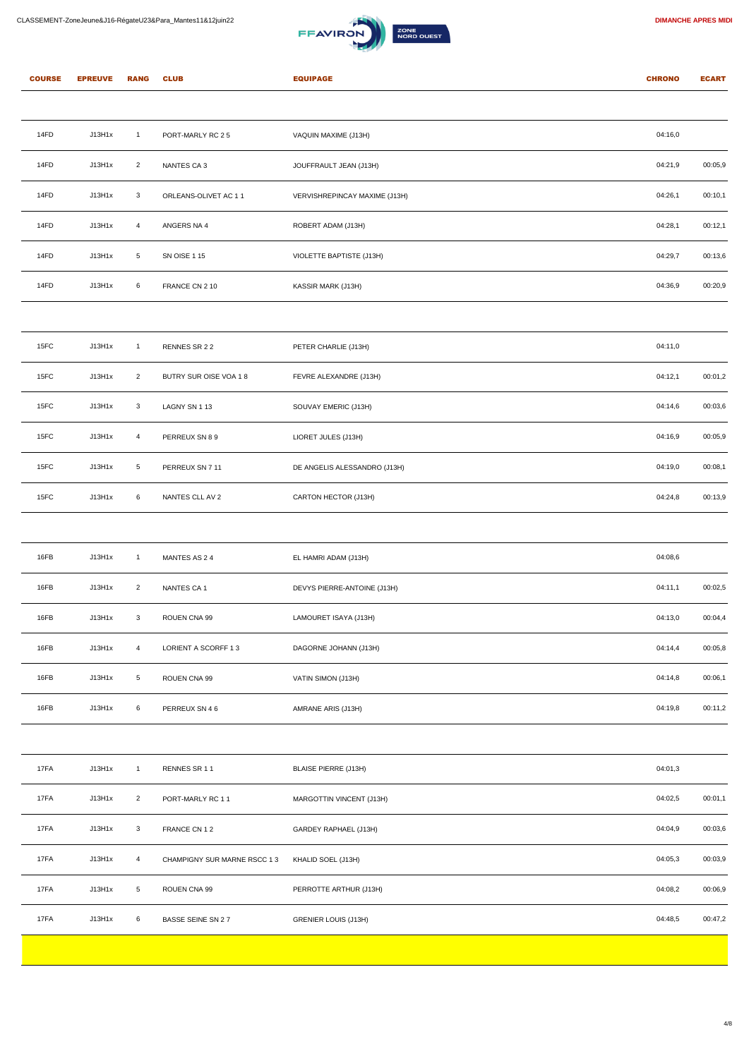



| <b>COURSE</b> | <b>EPREUVE</b> | <b>RANG</b>    | <b>CLUB</b>                  | <b>EQUIPAGE</b>               | <b>CHRONO</b> | <b>ECART</b> |
|---------------|----------------|----------------|------------------------------|-------------------------------|---------------|--------------|
|               |                |                |                              |                               |               |              |
| 14FD          | J13H1x         | $\overline{1}$ | PORT-MARLY RC 25             | VAQUIN MAXIME (J13H)          | 04:16,0       |              |
| 14FD          | J13H1x         | $\overline{2}$ | NANTES CA 3                  | JOUFFRAULT JEAN (J13H)        | 04:21,9       | 00:05,9      |
| 14FD          | J13H1x         | 3              | ORLEANS-OLIVET AC 11         | VERVISHREPINCAY MAXIME (J13H) | 04:26,1       | 00:10,1      |
| 14FD          | J13H1x         | $\overline{4}$ | ANGERS NA 4                  | ROBERT ADAM (J13H)            | 04:28,1       | 00:12,1      |
| 14FD          | J13H1x         | 5              | SN OISE 1 15                 | VIOLETTE BAPTISTE (J13H)      | 04:29,7       | 00:13,6      |
| 14FD          | J13H1x         | 6              | FRANCE CN 2 10               | KASSIR MARK (J13H)            | 04:36,9       | 00:20,9      |
|               |                |                |                              |                               |               |              |
| 15FC          | J13H1x         | $\overline{1}$ | RENNES SR 22                 | PETER CHARLIE (J13H)          | 04:11,0       |              |
| 15FC          | J13H1x         | $\overline{2}$ | BUTRY SUR OISE VOA 18        | FEVRE ALEXANDRE (J13H)        | 04:12,1       | 00:01,2      |
| 15FC          | J13H1x         | 3              | LAGNY SN 113                 | SOUVAY EMERIC (J13H)          | 04:14,6       | 00:03,6      |
| 15FC          | J13H1x         | $\overline{4}$ | PERREUX SN 89                | LIORET JULES (J13H)           | 04:16,9       | 00:05,9      |
| 15FC          | J13H1x         | 5              | PERREUX SN 7 11              | DE ANGELIS ALESSANDRO (J13H)  | 04:19,0       | 00:08,1      |
| 15FC          | J13H1x         | 6              | NANTES CLL AV 2              | CARTON HECTOR (J13H)          | 04:24,8       | 00:13,9      |
|               |                |                |                              |                               |               |              |
| 16FB          | J13H1x         | $\mathbf{1}$   | MANTES AS 24                 | EL HAMRI ADAM (J13H)          | 04:08,6       |              |
| 16FB          | J13H1x         | $\overline{2}$ | NANTES CA 1                  | DEVYS PIERRE-ANTOINE (J13H)   | 04:11,1       | 00:02,5      |
| 16FB          | J13H1x         | 3              | ROUEN CNA 99                 | LAMOURET ISAYA (J13H)         | 04:13,0       | 00:04,4      |
| 16FB          | J13H1x         | 4              | LORIENT A SCORFF 13          | DAGORNE JOHANN (J13H)         | 04:14,4       | 00:05,8      |
| 16FB          | J13H1x         | $\,$ 5 $\,$    | ROUEN CNA 99                 | VATIN SIMON (J13H)            | 04:14,8       | 00:06,1      |
| 16FB          | J13H1x         | 6              | PERREUX SN 46                | AMRANE ARIS (J13H)            | 04:19,8       | 00:11,2      |
|               |                |                |                              |                               |               |              |
| 17FA          | J13H1x         | $\mathbf{1}$   | RENNES SR 11                 | BLAISE PIERRE (J13H)          | 04:01,3       |              |
| 17FA          | J13H1x         | $\overline{2}$ | PORT-MARLY RC 11             | MARGOTTIN VINCENT (J13H)      | 04:02,5       | 00:01,1      |
| 17FA          | J13H1x         | $\mathbf{3}$   | FRANCE CN 12                 | GARDEY RAPHAEL (J13H)         | 04:04,9       | 00:03,6      |
| 17FA          | J13H1x         | 4              | CHAMPIGNY SUR MARNE RSCC 1 3 | KHALID SOEL (J13H)            | 04:05,3       | 00:03,9      |
| 17FA          | J13H1x         | $\,$ 5 $\,$    | ROUEN CNA 99                 | PERROTTE ARTHUR (J13H)        | 04:08,2       | 00:06,9      |
| 17FA          | J13H1x         | 6              | BASSE SEINE SN 27            | GRENIER LOUIS (J13H)          | 04:48,5       | 00:47,2      |

4/8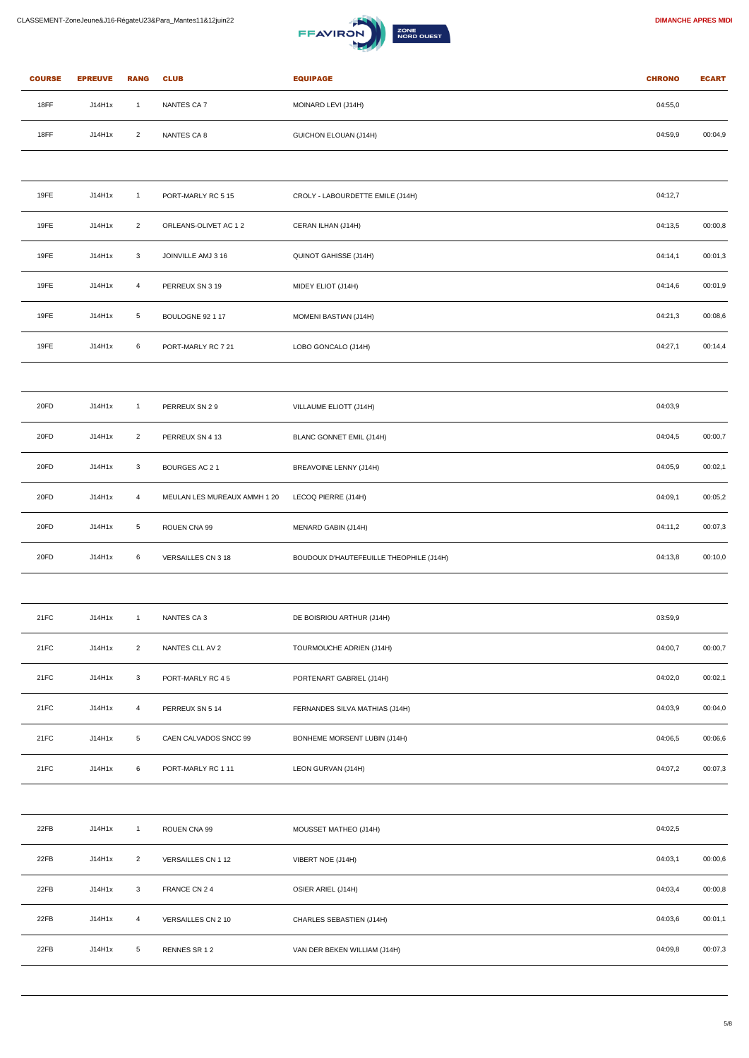

| <b>COURSE</b> | <b>EPREUVE</b> | <b>RANG</b>     | <b>CLUB</b>                  | <b>EQUIPAGE</b>                         | <b>CHRONO</b> | <b>ECART</b> |
|---------------|----------------|-----------------|------------------------------|-----------------------------------------|---------------|--------------|
| 18FF          | J14H1x         | $\overline{1}$  | NANTES CA 7                  | MOINARD LEVI (J14H)                     | 04:55,0       |              |
| 18FF          | J14H1x         | $\overline{2}$  | NANTES CA 8                  | GUICHON ELOUAN (J14H)                   | 04:59,9       | 00:04,9      |
|               |                |                 |                              |                                         |               |              |
| 19FE          | J14H1x         | $\overline{1}$  | PORT-MARLY RC 5 15           | CROLY - LABOURDETTE EMILE (J14H)        | 04:12,7       |              |
| 19FE          | J14H1x         | $\overline{2}$  | ORLEANS-OLIVET AC 12         | CERAN ILHAN (J14H)                      | 04:13,5       | 00:00,8      |
| 19FE          | J14H1x         | 3               | JOINVILLE AMJ 3 16           | QUINOT GAHISSE (J14H)                   | 04:14,1       | 00:01,3      |
| 19FE          | J14H1x         | $\overline{4}$  | PERREUX SN 3 19              | MIDEY ELIOT (J14H)                      | 04:14,6       | 00:01,9      |
| 19FE          | J14H1x         | 5               | BOULOGNE 92 1 17             | MOMENI BASTIAN (J14H)                   | 04:21,3       | 00:08,6      |
| 19FE          | J14H1x         | 6               | PORT-MARLY RC 7 21           | LOBO GONCALO (J14H)                     | 04:27,1       | 00:14,4      |
|               |                |                 |                              |                                         |               |              |
| 20FD          | J14H1x         | $\overline{1}$  | PERREUX SN 29                | VILLAUME ELIOTT (J14H)                  | 04:03,9       |              |
| 20FD          | J14H1x         | $\overline{2}$  | PERREUX SN 4 13              | BLANC GONNET EMIL (J14H)                | 04:04,5       | 00:00,7      |
| 20FD          | J14H1x         | $\mathbf{3}$    | BOURGES AC 21                | BREAVOINE LENNY (J14H)                  | 04:05,9       | 00:02,1      |
| 20FD          | J14H1x         | $\overline{4}$  | MEULAN LES MUREAUX AMMH 1 20 | LECOQ PIERRE (J14H)                     | 04:09,1       | 00:05,2      |
| 20FD          | J14H1x         | 5               | ROUEN CNA 99                 | MENARD GABIN (J14H)                     | 04:11,2       | 00:07,3      |
| 20FD          | J14H1x         | 6               | VERSAILLES CN 3 18           | BOUDOUX D'HAUTEFEUILLE THEOPHILE (J14H) | 04:13,8       | 00:10,0      |
|               |                |                 |                              |                                         |               |              |
| 21FC          | J14H1x         | $\overline{1}$  | NANTES CA 3                  | DE BOISRIOU ARTHUR (J14H)               | 03:59,9       |              |
| 21FC          | J14H1x         | $\overline{2}$  | NANTES CLL AV 2              | TOURMOUCHE ADRIEN (J14H)                | 04:00,7       | 00:00,7      |
| 21FC          | J14H1x         | $\mathbf{3}$    | PORT-MARLY RC 45             | PORTENART GABRIEL (J14H)                | 04:02,0       | 00:02,1      |
| 21FC          | J14H1x         | $\overline{4}$  | PERREUX SN 5 14              | FERNANDES SILVA MATHIAS (J14H)          | 04:03,9       | 00:04,0      |
| 21FC          | J14H1x         | $5\phantom{.0}$ | CAEN CALVADOS SNCC 99        | BONHEME MORSENT LUBIN (J14H)            | 04:06,5       | 00:06,6      |
| 21FC          | J14H1x         | 6               | PORT-MARLY RC 111            | LEON GURVAN (J14H)                      | 04:07,2       | 00:07,3      |
|               |                |                 |                              |                                         |               |              |
| 22FB          | J14H1x         | $\overline{1}$  | ROUEN CNA 99                 | MOUSSET MATHEO (J14H)                   | 04:02,5       |              |
| 22FB          | J14H1x         | $\overline{2}$  | VERSAILLES CN 1 12           | VIBERT NOE (J14H)                       | 04:03,1       | 00:00,6      |
| 22FB          | J14H1x         | $\mathbf{3}$    | FRANCE CN 24                 | OSIER ARIEL (J14H)                      | 04:03,4       | 00:00,8      |
| 22FB          | J14H1x         | $\overline{4}$  | VERSAILLES CN 2 10           | CHARLES SEBASTIEN (J14H)                | 04:03,6       | 00:01,1      |
| 22FB          | J14H1x         | $\sqrt{5}$      | RENNES SR 12                 | VAN DER BEKEN WILLIAM (J14H)            | 04:09,8       | 00:07,3      |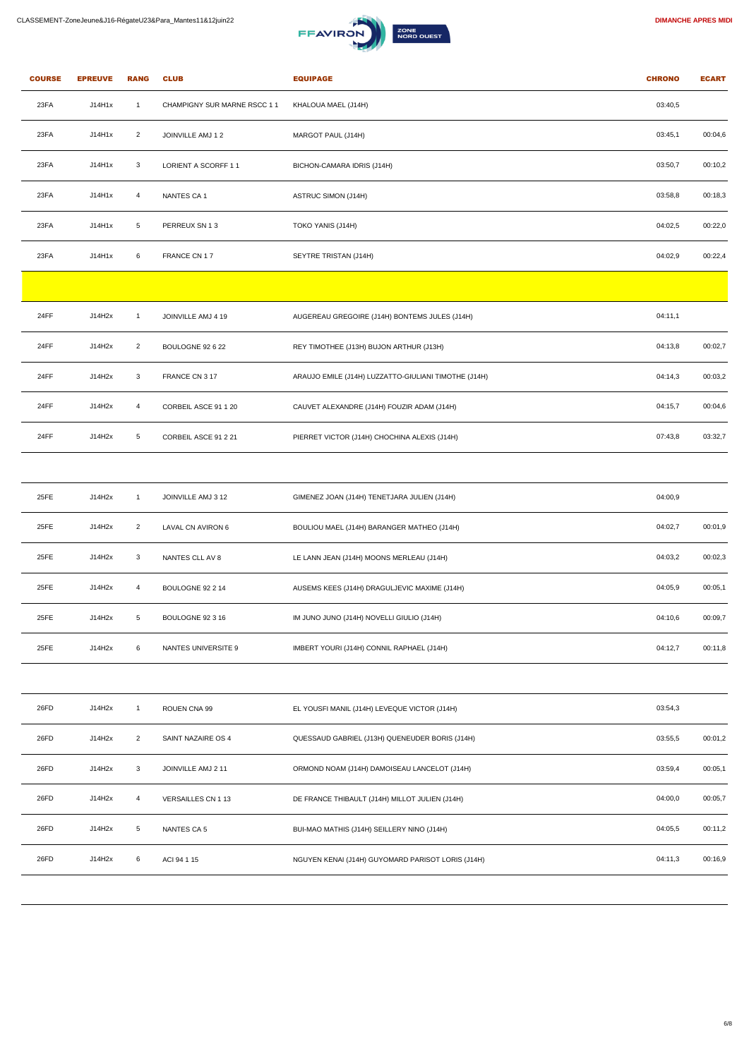

| <b>COURSE</b> | <b>EPREUVE</b> | <b>RANG</b>    | <b>CLUB</b>                  | <b>EQUIPAGE</b>                                      | <b>CHRONO</b> | <b>ECART</b> |
|---------------|----------------|----------------|------------------------------|------------------------------------------------------|---------------|--------------|
| 23FA          | J14H1x         | $\mathbf{1}$   | CHAMPIGNY SUR MARNE RSCC 1 1 | KHALOUA MAEL (J14H)                                  | 03:40,5       |              |
| 23FA          | J14H1x         | $\overline{2}$ | JOINVILLE AMJ 12             | MARGOT PAUL (J14H)                                   | 03:45,1       | 00:04,6      |
| 23FA          | J14H1x         | 3              | LORIENT A SCORFF 11          | BICHON-CAMARA IDRIS (J14H)                           | 03:50,7       | 00:10,2      |
| 23FA          | J14H1x         | $\overline{4}$ | NANTES CA 1                  | ASTRUC SIMON (J14H)                                  | 03:58,8       | 00:18,3      |
| 23FA          | J14H1x         | 5              | PERREUX SN 13                | TOKO YANIS (J14H)                                    | 04:02,5       | 00:22,0      |
| 23FA          | J14H1x         | 6              | FRANCE CN 17                 | SEYTRE TRISTAN (J14H)                                | 04:02,9       | 00:22,4      |
|               |                |                |                              |                                                      |               |              |
| 24FF          | J14H2x         | $\mathbf{1}$   | JOINVILLE AMJ 4 19           | AUGEREAU GREGOIRE (J14H) BONTEMS JULES (J14H)        | 04:11,1       |              |
| 24FF          | J14H2x         | $\overline{2}$ | BOULOGNE 92 6 22             | REY TIMOTHEE (J13H) BUJON ARTHUR (J13H)              | 04:13,8       | 00:02,7      |
| 24FF          | J14H2x         | 3              | FRANCE CN 317                | ARAUJO EMILE (J14H) LUZZATTO-GIULIANI TIMOTHE (J14H) | 04:14,3       | 00:03,2      |
| 24FF          | J14H2x         | $\overline{4}$ | CORBEIL ASCE 91 1 20         | CAUVET ALEXANDRE (J14H) FOUZIR ADAM (J14H)           | 04:15,7       | 00:04,6      |
| 24FF          | J14H2x         | 5              | CORBEIL ASCE 91 2 21         | PIERRET VICTOR (J14H) CHOCHINA ALEXIS (J14H)         | 07:43,8       | 03:32,7      |
|               |                |                |                              |                                                      |               |              |
| 25FE          | J14H2x         | $\mathbf{1}$   | JOINVILLE AMJ 3 12           | GIMENEZ JOAN (J14H) TENETJARA JULIEN (J14H)          | 04:00,9       |              |
| 25FE          | J14H2x         | $\overline{2}$ | LAVAL CN AVIRON 6            | BOULIOU MAEL (J14H) BARANGER MATHEO (J14H)           | 04:02,7       | 00:01,9      |
| 25FE          | J14H2x         | 3              | NANTES CLL AV 8              | LE LANN JEAN (J14H) MOONS MERLEAU (J14H)             | 04:03,2       | 00:02,3      |
| 25FE          | J14H2x         | 4              | BOULOGNE 92 2 14             | AUSEMS KEES (J14H) DRAGULJEVIC MAXIME (J14H)         | 04:05,9       | 00:05,1      |
| 25FE          | J14H2x         | 5              | BOULOGNE 92 3 16             | IM JUNO JUNO (J14H) NOVELLI GIULIO (J14H)            | 04:10,6       | 00:09,7      |
| 25FE          | J14H2x         | 6              | NANTES UNIVERSITE 9          | IMBERT YOURI (J14H) CONNIL RAPHAEL (J14H)            | 04:12,7       | 00:11,8      |
|               |                |                |                              |                                                      |               |              |
| 26FD          | J14H2x         | $\mathbf{1}$   | ROUEN CNA 99                 | EL YOUSFI MANIL (J14H) LEVEQUE VICTOR (J14H)         | 03:54,3       |              |
| 26FD          | J14H2x         | $\overline{2}$ | SAINT NAZAIRE OS 4           | QUESSAUD GABRIEL (J13H) QUENEUDER BORIS (J14H)       | 03:55,5       | 00:01,2      |
| 26FD          | J14H2x         | 3              | JOINVILLE AMJ 2 11           | ORMOND NOAM (J14H) DAMOISEAU LANCELOT (J14H)         | 03:59,4       | 00:05,1      |
| 26FD          | J14H2x         | 4              | VERSAILLES CN 1 13           | DE FRANCE THIBAULT (J14H) MILLOT JULIEN (J14H)       | 04:00,0       | 00:05,7      |
| 26FD          | J14H2x         | 5              | NANTES CA 5                  | BUI-MAO MATHIS (J14H) SEILLERY NINO (J14H)           | 04:05,5       | 00:11,2      |
| 26FD          | J14H2x         | 6              | ACI 94 1 15                  | NGUYEN KENAI (J14H) GUYOMARD PARISOT LORIS (J14H)    | 04:11,3       | 00:16,9      |
|               |                |                |                              |                                                      |               |              |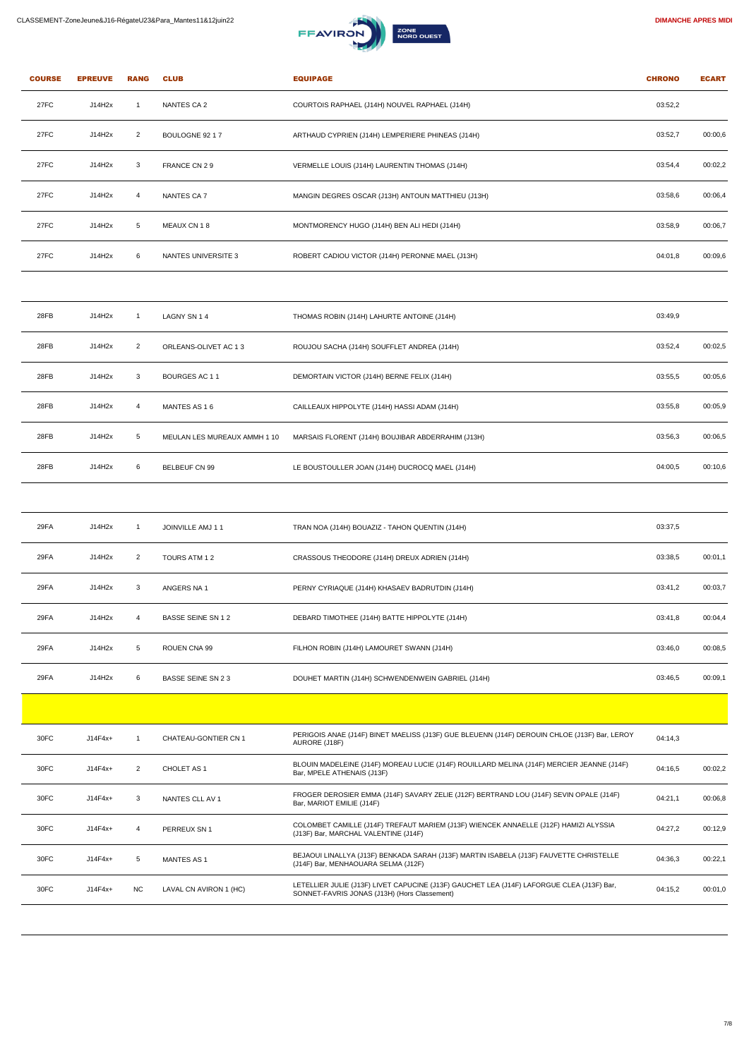

| <b>COURSE</b> | <b>EPREUVE</b> | <b>RANG</b>    | <b>CLUB</b>                  | <b>EQUIPAGE</b>                                                                                                                           | <b>CHRONO</b> | <b>ECART</b> |
|---------------|----------------|----------------|------------------------------|-------------------------------------------------------------------------------------------------------------------------------------------|---------------|--------------|
| 27FC          | J14H2x         | $\mathbf{1}$   | NANTES CA 2                  | COURTOIS RAPHAEL (J14H) NOUVEL RAPHAEL (J14H)                                                                                             | 03:52,2       |              |
| 27FC          | J14H2x         | $\overline{2}$ | BOULOGNE 92 17               | ARTHAUD CYPRIEN (J14H) LEMPERIERE PHINEAS (J14H)                                                                                          | 03:52,7       | 00:00,6      |
| 27FC          | J14H2x         | 3              | FRANCE CN 29                 | VERMELLE LOUIS (J14H) LAURENTIN THOMAS (J14H)                                                                                             | 03:54,4       | 00:02,2      |
| 27FC          | J14H2x         | 4              | NANTES CA 7                  | MANGIN DEGRES OSCAR (J13H) ANTOUN MATTHIEU (J13H)                                                                                         | 03:58,6       | 00:06,4      |
| 27FC          | J14H2x         | 5              | MEAUX CN 18                  | MONTMORENCY HUGO (J14H) BEN ALI HEDI (J14H)                                                                                               | 03:58,9       | 00:06,7      |
| 27FC          | J14H2x         | 6              | NANTES UNIVERSITE 3          | ROBERT CADIOU VICTOR (J14H) PERONNE MAEL (J13H)                                                                                           | 04:01,8       | 00:09,6      |
|               |                |                |                              |                                                                                                                                           |               |              |
| 28FB          | J14H2x         | $\mathbf{1}$   | LAGNY SN 14                  | THOMAS ROBIN (J14H) LAHURTE ANTOINE (J14H)                                                                                                | 03:49,9       |              |
| 28FB          | J14H2x         | $\overline{2}$ | ORLEANS-OLIVET AC 13         | ROUJOU SACHA (J14H) SOUFFLET ANDREA (J14H)                                                                                                | 03:52,4       | 00:02,5      |
| 28FB          | J14H2x         | 3              | BOURGES AC 11                | DEMORTAIN VICTOR (J14H) BERNE FELIX (J14H)                                                                                                | 03:55,5       | 00:05,6      |
| 28FB          | J14H2x         | 4              | MANTES AS 16                 | CAILLEAUX HIPPOLYTE (J14H) HASSI ADAM (J14H)                                                                                              | 03:55,8       | 00:05,9      |
| 28FB          | J14H2x         | 5              | MEULAN LES MUREAUX AMMH 1 10 | MARSAIS FLORENT (J14H) BOUJIBAR ABDERRAHIM (J13H)                                                                                         | 03:56,3       | 00:06,5      |
| 28FB          | J14H2x         | 6              | BELBEUF CN 99                | LE BOUSTOULLER JOAN (J14H) DUCROCQ MAEL (J14H)                                                                                            | 04:00,5       | 00:10,6      |
|               |                |                |                              |                                                                                                                                           |               |              |
| 29FA          | J14H2x         | $\mathbf{1}$   | JOINVILLE AMJ 11             | TRAN NOA (J14H) BOUAZIZ - TAHON QUENTIN (J14H)                                                                                            | 03:37,5       |              |
| 29FA          | J14H2x         | $\overline{2}$ | TOURS ATM 12                 | CRASSOUS THEODORE (J14H) DREUX ADRIEN (J14H)                                                                                              | 03:38,5       | 00:01,1      |
| 29FA          | J14H2x         | 3              | ANGERS NA 1                  | PERNY CYRIAQUE (J14H) KHASAEV BADRUTDIN (J14H)                                                                                            | 03:41,2       | 00:03,7      |
| 29FA          | J14H2x         |                | BASSE SEINE SN 12            | DEBARD TIMOTHEE (J14H) BATTE HIPPOLYTE (J14H)                                                                                             | 03:41,8       | 00:04,4      |
| 29FA          | J14H2x         | 5              | ROUEN CNA 99                 | FILHON ROBIN (J14H) LAMOURET SWANN (J14H)                                                                                                 | 03:46,0       | 00:08,5      |
| 29FA          | J14H2x         | 6              | <b>BASSE SEINE SN 23</b>     | DOUHET MARTIN (J14H) SCHWENDENWEIN GABRIEL (J14H)                                                                                         | 03:46,5       | 00:09,1      |
|               |                |                |                              |                                                                                                                                           |               |              |
| 30FC          | $J14F4x+$      | $\mathbf{1}$   | CHATEAU-GONTIER CN 1         | PERIGOIS ANAE (J14F) BINET MAELISS (J13F) GUE BLEUENN (J14F) DEROUIN CHLOE (J13F) Bar, LEROY<br>AURORE (J18F)                             | 04:14,3       |              |
| 30FC          | $J14F4x+$      | $\overline{2}$ | CHOLET AS 1                  | BLOUIN MADELEINE (J14F) MOREAU LUCIE (J14F) ROUILLARD MELINA (J14F) MERCIER JEANNE (J14F)<br>Bar, MPELE ATHENAIS (J13F)                   | 04:16,5       | 00:02,2      |
| 30FC          | $J14F4x+$      | 3              | NANTES CLL AV 1              | FROGER DEROSIER EMMA (J14F) SAVARY ZELIE (J12F) BERTRAND LOU (J14F) SEVIN OPALE (J14F)<br>Bar, MARIOT EMILIE (J14F)                       | 04:21,1       | 00:06,8      |
| 30FC          | $J14F4x+$      | 4              | PERREUX SN 1                 | COLOMBET CAMILLE (J14F) TREFAUT MARIEM (J13F) WIENCEK ANNAELLE (J12F) HAMIZI ALYSSIA<br>(J13F) Bar, MARCHAL VALENTINE (J14F)              | 04:27,2       | 00:12,9      |
| 30FC          | $J14F4x+$      | 5              | <b>MANTES AS 1</b>           | BEJAOUI LINALLYA (J13F) BENKADA SARAH (J13F) MARTIN ISABELA (J13F) FAUVETTE CHRISTELLE<br>(J14F) Bar, MENHAOUARA SELMA (J12F)             | 04:36,3       | 00:22,1      |
| 30FC          | $J14F4x+$      | <b>NC</b>      | LAVAL CN AVIRON 1 (HC)       | LETELLIER JULIE (J13F) LIVET CAPUCINE (J13F) GAUCHET LEA (J14F) LAFORGUE CLEA (J13F) Bar,<br>SONNET-FAVRIS JONAS (J13H) (Hors Classement) | 04:15,2       | 00:01,0      |
|               |                |                |                              |                                                                                                                                           |               |              |